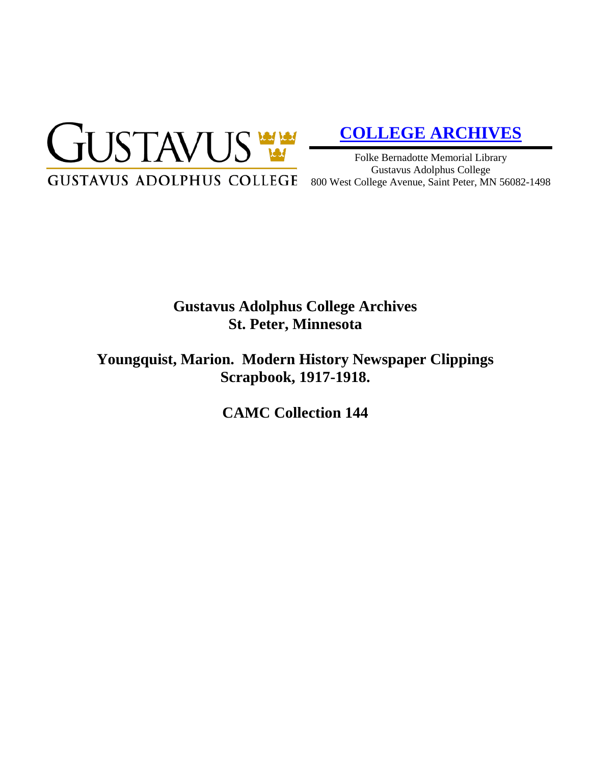

# **[COLLEGE ARCHIVES](http://gustavus.edu/academics/library/archives/)**

Folke Bernadotte Memorial Library Gustavus Adolphus College 800 West College Avenue, Saint Peter, MN 56082-1498

# **Gustavus Adolphus College Archives St. Peter, Minnesota**

**Youngquist, Marion. Modern History Newspaper Clippings Scrapbook, 1917-1918.**

**CAMC Collection 144**